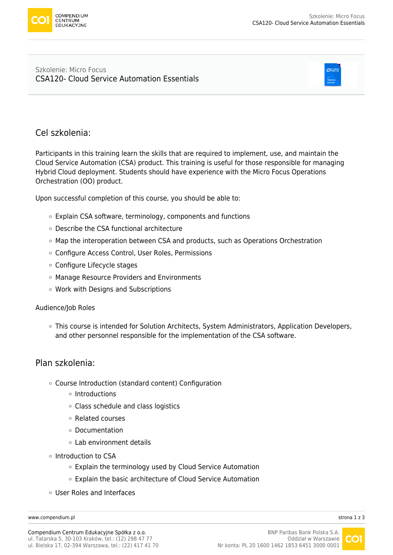

#### Szkolenie: Micro Focus [CSA120- Cloud Service Automation Essentials](https://www.compendium.pl/szkolenie/570/szkolenie-autoryzowane-micro-focus-csa120-cloud-service-automation-essentials)



# Cel szkolenia:

Participants in this training learn the skills that are required to implement, use, and maintain the Cloud Service Automation (CSA) product. This training is useful for those responsible for managing Hybrid Cloud deployment. Students should have experience with the Micro Focus Operations Orchestration (OO) product.

Upon successful completion of this course, you should be able to:

- $\circ$  Explain CSA software, terminology, components and functions
- Describe the CSA functional architecture
- $\circ$  Map the interoperation between CSA and products, such as Operations Orchestration
- Configure Access Control, User Roles, Permissions
- Configure Lifecycle stages
- Manage Resource Providers and Environments
- Work with Designs and Subscriptions

#### Audience/Job Roles

o This course is intended for Solution Architects, System Administrators, Application Developers, and other personnel responsible for the implementation of the CSA software.

## Plan szkolenia:

- Course Introduction (standard content) Configuration
	- $\circ$  Introductions
	- Class schedule and class logistics
	- Related courses
	- Documentation
	- Lab environment details
- o Introduction to CSA
	- Explain the terminology used by Cloud Service Automation
	- Explain the basic architecture of Cloud Service Automation
- User Roles and Interfaces

[www.compendium.pl](https://www.compendium.pl/) strona 1 z 3

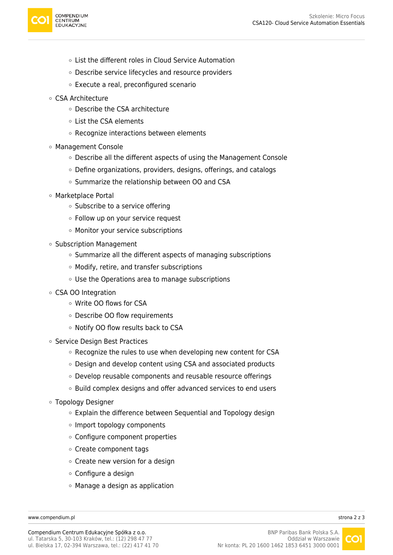

- List the different roles in Cloud Service Automation
- Describe service lifecycles and resource providers
- Execute a real, preconfigured scenario
- CSA Architecture
	- Describe the CSA architecture
	- $\circ$  List the CSA elements
	- Recognize interactions between elements
- Management Console
	- Describe all the different aspects of using the Management Console
	- Define organizations, providers, designs, offerings, and catalogs
	- o Summarize the relationship between OO and CSA
- Marketplace Portal
	- Subscribe to a service offering
	- Follow up on your service request
	- Monitor your service subscriptions
- Subscription Management
	- $\circ$  Summarize all the different aspects of managing subscriptions
	- Modify, retire, and transfer subscriptions
	- Use the Operations area to manage subscriptions
- CSA OO Integration
	- Write OO flows for CSA
	- Describe OO flow requirements
	- o Notify OO flow results back to CSA
- Service Design Best Practices
	- Recognize the rules to use when developing new content for CSA
	- Design and develop content using CSA and associated products
	- Develop reusable components and reusable resource offerings
	- Build complex designs and offer advanced services to end users
- Topology Designer
	- Explain the difference between Sequential and Topology design
	- o Import topology components
	- Configure component properties
	- Create component tags
	- $\circ$  Create new version for a design
	- Configure a design
	- $\circ$  Manage a design as application

[www.compendium.pl](https://www.compendium.pl/) strona 2 z 3